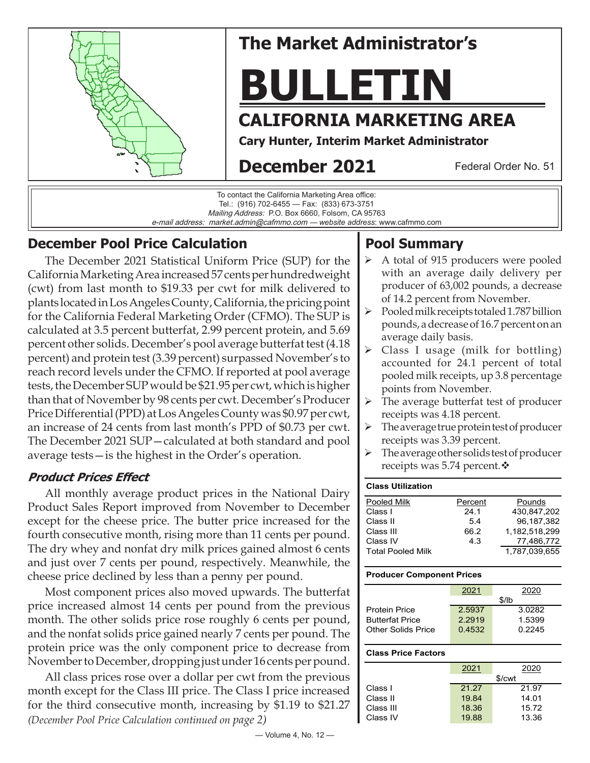

# **The Market Administrator's**

# **BULLETIN**

# **CALIFORNIA MARKETING AREA**

**Cary Hunter, Interim Market Administrator**

# **December 2021**

Federal Order No. 51



# **December Pool Price Calculation**

The December 2021 Statistical Uniform Price (SUP) for the California Marketing Area increased 57 cents per hundredweight (cwt) from last month to \$19.33 per cwt for milk delivered to plants located in Los Angeles County, California, the pricing point for the California Federal Marketing Order (CFMO). The SUP is calculated at 3.5 percent butterfat, 2.99 percent protein, and 5.69 percent other solids. December's pool average butterfat test (4.18 percent) and protein test (3.39 percent) surpassed November's to reach record levels under the CFMO. If reported at pool average tests, the December SUP would be \$21.95 per cwt, which is higher than that of November by 98 cents per cwt. December's Producer Price Differential (PPD) at Los Angeles County was \$0.97 per cwt, an increase of 24 cents from last month's PPD of \$0.73 per cwt. The December 2021 SUP—calculated at both standard and pool average tests—is the highest in the Order's operation.

## **Product Prices Effect**

All monthly average product prices in the National Dairy Product Sales Report improved from November to December except for the cheese price. The butter price increased for the fourth consecutive month, rising more than 11 cents per pound. The dry whey and nonfat dry milk prices gained almost 6 cents and just over 7 cents per pound, respectively. Meanwhile, the cheese price declined by less than a penny per pound.

Most component prices also moved upwards. The butterfat price increased almost 14 cents per pound from the previous month. The other solids price rose roughly 6 cents per pound, and the nonfat solids price gained nearly 7 cents per pound. The protein price was the only component price to decrease from November to December, dropping just under 16 cents per pound.

All class prices rose over a dollar per cwt from the previous month except for the Class III price. The Class I price increased for the third consecutive month, increasing by \$1.19 to \$21.27 *(December Pool Price Calculation continued on page 2)*

# **Pool Summary**

- A total of 915 producers were pooled with an average daily delivery per producer of 63,002 pounds, a decrease of 14.2 percent from November.
- $\triangleright$  Pooled milk receipts totaled 1.787 billion pounds, a decrease of 16.7 percent on an average daily basis.
- Class I usage (milk for bottling) accounted for 24.1 percent of total pooled milk receipts, up 3.8 percentage points from November.
- $\triangleright$  The average butterfat test of producer receipts was 4.18 percent.
- $\triangleright$  The average true protein test of producer receipts was 3.39 percent.
- $\triangleright$  The average other solids test of producer receipts was 5.74 percent. $\mathbf{\hat{v}}$

| <b>Class Utilization</b> |         |               |
|--------------------------|---------|---------------|
| Pooled Milk              | Percent | Pounds        |
| Class I                  | 24.1    | 430.847.202   |
| Class II                 | 54      | 96.187.382    |
| Class III                | 66.2    | 1.182.518.299 |
| Class IV                 | 4.3     | 77,486,772    |
| <b>Total Pooled Milk</b> |         | 1.787.039.655 |

#### **Producer Component Prices**

|                           | 2021   | 2020   |  |  |  |
|---------------------------|--------|--------|--|--|--|
|                           | \$/lb  |        |  |  |  |
| <b>Protein Price</b>      | 2.5937 | 3.0282 |  |  |  |
| <b>Butterfat Price</b>    | 2.2919 | 1.5399 |  |  |  |
| <b>Other Solids Price</b> | 0.4532 | 0.2245 |  |  |  |
|                           |        |        |  |  |  |
| Closs Dries Easters       |        |        |  |  |  |

#### **Class Price Factors**

|           | 2021   | 2020  |  |  |  |
|-----------|--------|-------|--|--|--|
|           | \$/cwt |       |  |  |  |
| Class I   | 21.27  | 21.97 |  |  |  |
| Class II  | 19.84  | 14.01 |  |  |  |
| Class III | 18.36  | 15.72 |  |  |  |
| Class IV  | 19.88  | 13.36 |  |  |  |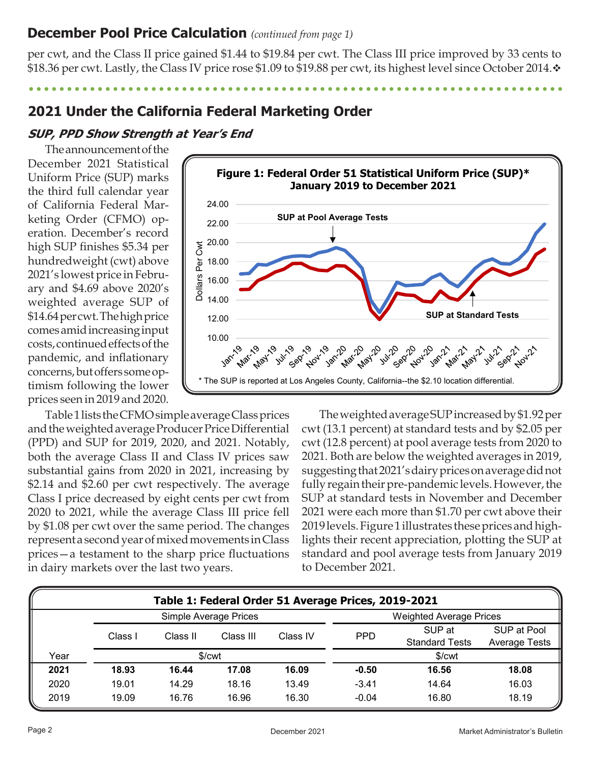## **December Pool Price Calculation** *(continued from page 1)*

per cwt, and the Class II price gained \$1.44 to \$19.84 per cwt. The Class III price improved by 33 cents to \$18.36 per cwt. Lastly, the Class IV price rose \$1.09 to \$19.88 per cwt, its highest level since October 2014. $\cdot$ 

**2021 Under the California Federal Marketing Order**

## **SUP, PPD Show Strength at Year's End**

The announcement of the December 2021 Statistical Uniform Price (SUP) marks the third full calendar year of California Federal Marketing Order (CFMO) operation. December's record high SUP finishes \$5.34 per hundredweight (cwt) above 2021's lowest price in February and \$4.69 above 2020's weighted average SUP of \$14.64 per cwt. The high price comes amid increasing input costs, continued effects of the pandemic, and inflationary concerns, but offers some optimism following the lower prices seen in 2019 and 2020.



Table 1 lists the CFMO simple average Class prices and the weighted average Producer Price Differential (PPD) and SUP for 2019, 2020, and 2021. Notably, both the average Class II and Class IV prices saw substantial gains from 2020 in 2021, increasing by \$2.14 and \$2.60 per cwt respectively. The average Class I price decreased by eight cents per cwt from 2020 to 2021, while the average Class III price fell by \$1.08 per cwt over the same period. The changes represent a second year of mixed movements in Class prices—a testament to the sharp price fluctuations in dairy markets over the last two years.

The weighted average SUP increased by \$1.92 per cwt (13.1 percent) at standard tests and by \$2.05 per cwt (12.8 percent) at pool average tests from 2020 to 2021. Both are below the weighted averages in 2019, suggesting that 2021's dairy prices on average did not fully regain their pre-pandemic levels. However, the SUP at standard tests in November and December 2021 were each more than \$1.70 per cwt above their 2019 levels. Figure 1 illustrates these prices and highlights their recent appreciation, plotting the SUP at standard and pool average tests from January 2019 to December 2021.

| Table 1: Federal Order 51 Average Prices, 2019-2021 |                    |          |                                |                    |            |                       |                      |
|-----------------------------------------------------|--------------------|----------|--------------------------------|--------------------|------------|-----------------------|----------------------|
| Simple Average Prices                               |                    |          | <b>Weighted Average Prices</b> |                    |            |                       |                      |
|                                                     | Class I            | Class II | Class III                      | Class IV           | <b>PPD</b> | SUP at                | SUP at Pool          |
|                                                     |                    |          |                                |                    |            | <b>Standard Tests</b> | <b>Average Tests</b> |
| Year                                                | \$/ <sub>cut</sub> |          |                                | \$/ <sub>cut</sub> |            |                       |                      |
| 2021                                                | 18.93              | 16.44    | 17.08                          | 16.09              | $-0.50$    | 16.56                 | 18.08                |
| 2020                                                | 19.01              | 14.29    | 18.16                          | 13.49              | $-3.41$    | 14.64                 | 16.03                |
| 2019                                                | 19.09              | 16.76    | 16.96                          | 16.30              | $-0.04$    | 16.80                 | 18.19                |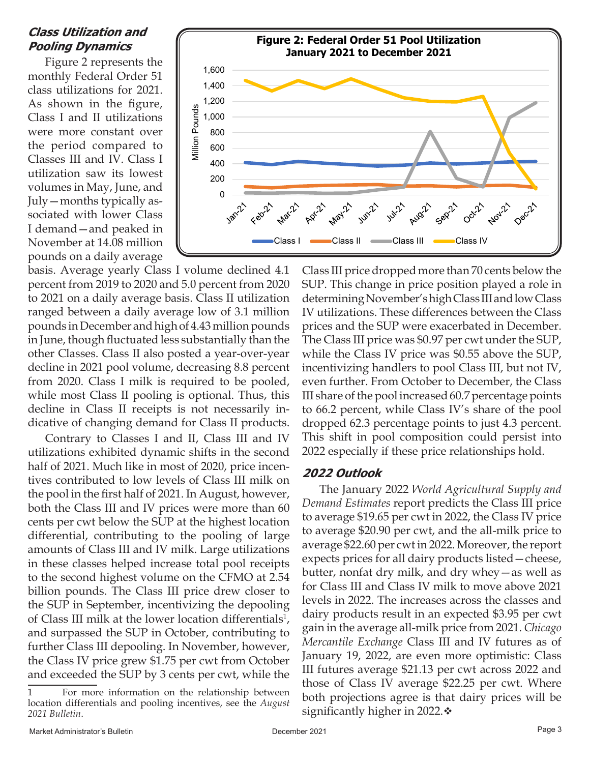#### **Class Utilization and Pooling Dynamics**

Figure 2 represents the monthly Federal Order 51 class utilizations for 2021. As shown in the figure, Class I and II utilizations were more constant over the period compared to Classes III and IV. Class I utilization saw its lowest volumes in May, June, and July—months typically associated with lower Class I demand—and peaked in November at 14.08 million pounds on a daily average



basis. Average yearly Class I volume declined 4.1 percent from 2019 to 2020 and 5.0 percent from 2020 to 2021 on a daily average basis. Class II utilization ranged between a daily average low of 3.1 million pounds in December and high of 4.43 million pounds in June, though fluctuated less substantially than the other Classes. Class II also posted a year-over-year decline in 2021 pool volume, decreasing 8.8 percent from 2020. Class I milk is required to be pooled, while most Class II pooling is optional. Thus, this decline in Class II receipts is not necessarily indicative of changing demand for Class II products.

Contrary to Classes I and II, Class III and IV utilizations exhibited dynamic shifts in the second half of 2021. Much like in most of 2020, price incentives contributed to low levels of Class III milk on the pool in the first half of 2021. In August, however, both the Class III and IV prices were more than 60 cents per cwt below the SUP at the highest location differential, contributing to the pooling of large amounts of Class III and IV milk. Large utilizations in these classes helped increase total pool receipts to the second highest volume on the CFMO at 2.54 billion pounds. The Class III price drew closer to the SUP in September, incentivizing the depooling of Class III milk at the lower location differentials<sup>1</sup>, and surpassed the SUP in October, contributing to further Class III depooling. In November, however, the Class IV price grew \$1.75 per cwt from October and exceeded the SUP by 3 cents per cwt, while the

Class III price dropped more than 70 cents below the SUP. This change in price position played a role in determining November's high Class III and low Class IV utilizations. These differences between the Class prices and the SUP were exacerbated in December. The Class III price was \$0.97 per cwt under the SUP, while the Class IV price was \$0.55 above the SUP, incentivizing handlers to pool Class III, but not IV, even further. From October to December, the Class III share of the pool increased 60.7 percentage points to 66.2 percent, while Class IV's share of the pool dropped 62.3 percentage points to just 4.3 percent. This shift in pool composition could persist into 2022 especially if these price relationships hold.

#### **2022 Outlook**

The January 2022 *World Agricultural Supply and Demand Estimates* report predicts the Class III price to average \$19.65 per cwt in 2022, the Class IV price to average \$20.90 per cwt, and the all-milk price to average \$22.60 per cwt in 2022. Moreover, the report expects prices for all dairy products listed—cheese, butter, nonfat dry milk, and dry whey—as well as for Class III and Class IV milk to move above 2021 levels in 2022. The increases across the classes and dairy products result in an expected \$3.95 per cwt gain in the average all-milk price from 2021. *Chicago Mercantile Exchange* Class III and IV futures as of January 19, 2022, are even more optimistic: Class III futures average \$21.13 per cwt across 2022 and those of Class IV average \$22.25 per cwt. Where both projections agree is that dairy prices will be significantly higher in 2022. $\div$ 

<sup>1</sup> For more information on the relationship between location differentials and pooling incentives, see the *August 2021 Bulletin*.